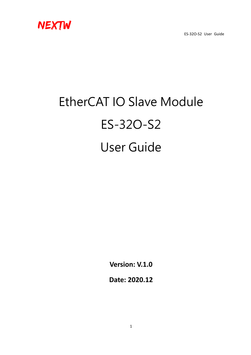

# EtherCAT IO Slave Module ES-32O-S2 User Guide

**Version: V.1.0**

**Date: 2020.12**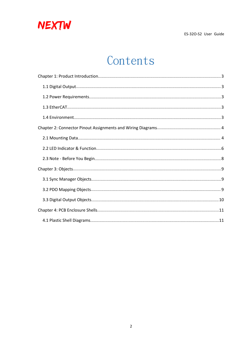

# Contents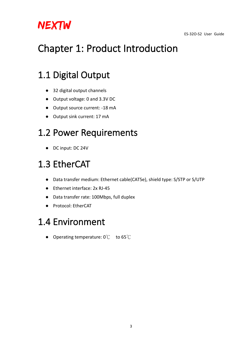

# <span id="page-2-0"></span>Chapter 1: Product Introduction

### <span id="page-2-1"></span>1.1 Digital Output

- 32 digital output channels
- Output voltage: 0 and 3.3V DC
- Output source current: -18 mA
- Output sink current: 17 mA

### <span id="page-2-2"></span>1.2 Power Requirements

● DC input: DC 24V

# <span id="page-2-3"></span>1.3 EtherCAT

- Data transfer medium: Ethernet cable(CAT5e), shield type: S/STP or S/UTP
- Ethernet interface: 2x RJ-45
- Data transfer rate: 100Mbps, full duplex
- Protocol: EtherCAT

#### <span id="page-2-4"></span>1.4 Environment

● Operating temperature: 0℃ to 65℃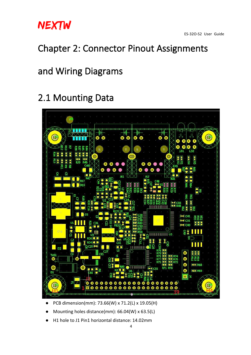

### <span id="page-3-0"></span>Chapter 2: Connector Pinout Assignments

### and Wiring Diagrams

### <span id="page-3-1"></span>2.1 Mounting Data



- PCB dimension(mm): 73.66(W) x 71.2(L) x 19.05(H)
- Mounting holes distance(mm): 66.04(W) x 63.5(L)
- H1 hole to J1 Pin1 horizontal distance: 14.02mm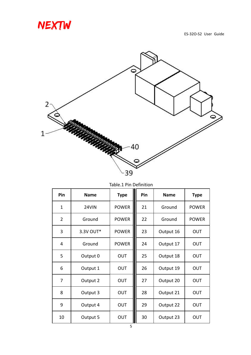



| Pin              | <b>Name</b> | <b>Type</b>  | Pin | <b>Name</b> | <b>Type</b>  |
|------------------|-------------|--------------|-----|-------------|--------------|
| $\mathbf{1}$     | 24VIN       | <b>POWER</b> | 21  | Ground      | <b>POWER</b> |
| $\overline{2}$   | Ground      | <b>POWER</b> | 22  | Ground      | <b>POWER</b> |
| 3                | 3.3V OUT*   | <b>POWER</b> | 23  | Output 16   | <b>OUT</b>   |
| $\overline{4}$   | Ground      | <b>POWER</b> | 24  | Output 17   | <b>OUT</b>   |
| 5                | Output 0    | <b>OUT</b>   | 25  | Output 18   | <b>OUT</b>   |
| $\boldsymbol{6}$ | Output 1    | <b>OUT</b>   | 26  | Output 19   | <b>OUT</b>   |
| $\overline{7}$   | Output 2    | <b>OUT</b>   | 27  | Output 20   | <b>OUT</b>   |
| 8                | Output 3    | <b>OUT</b>   | 28  | Output 21   | <b>OUT</b>   |
| 9                | Output 4    | <b>OUT</b>   | 29  | Output 22   | <b>OUT</b>   |
| 10               | Output 5    | OUT          | 30  | Output 23   | <b>OUT</b>   |

Table.1 Pin Definition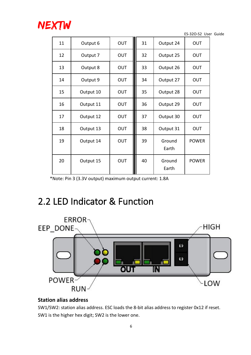

| 11 | Output 6  | OUT        | 31 | Output 24       | <b>OUT</b>   |
|----|-----------|------------|----|-----------------|--------------|
| 12 | Output 7  | <b>OUT</b> | 32 | Output 25       | <b>OUT</b>   |
| 13 | Output 8  | <b>OUT</b> | 33 | Output 26       | <b>OUT</b>   |
| 14 | Output 9  | <b>OUT</b> | 34 | Output 27       | <b>OUT</b>   |
| 15 | Output 10 | <b>OUT</b> | 35 | Output 28       | <b>OUT</b>   |
| 16 | Output 11 | <b>OUT</b> | 36 | Output 29       | <b>OUT</b>   |
| 17 | Output 12 | <b>OUT</b> | 37 | Output 30       | <b>OUT</b>   |
| 18 | Output 13 | <b>OUT</b> | 38 | Output 31       | <b>OUT</b>   |
| 19 | Output 14 | <b>OUT</b> | 39 | Ground<br>Earth | <b>POWER</b> |
| 20 | Output 15 | <b>OUT</b> | 40 | Ground<br>Earth | <b>POWER</b> |

\*Note: Pin 3 (3.3V output) maximum output current: 1.8A

### <span id="page-5-0"></span>2.2 LED Indicator & Function



#### **Station alias address**

SW1/SW2: station alias address. ESC loads the 8-bit alias address to register 0x12 if reset. SW1 is the higher hex digit; SW2 is the lower one.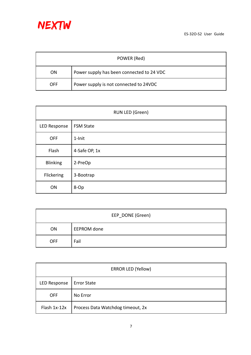

|                | POWER (Red)                               |
|----------------|-------------------------------------------|
| 0 <sub>N</sub> | Power supply has been connected to 24 VDC |
| <b>OFF</b>     | Power supply is not connected to 24VDC    |

|                 | RUN LED (Green)  |
|-----------------|------------------|
| LED Response    | <b>FSM State</b> |
| <b>OFF</b>      | 1-Init           |
| Flash           | 4-Safe OP, 1x    |
| <b>Blinking</b> | 2-PreOp          |
| Flickering      | 3-Bootrap        |
| ON              | 8-Op             |

|            | EEP_DONE (Green) |
|------------|------------------|
| ON         | EEPROM done      |
| <b>OFF</b> | Fail             |

|              | <b>ERROR LED (Yellow)</b>         |
|--------------|-----------------------------------|
| LED Response | <b>Error State</b>                |
| <b>OFF</b>   | No Error                          |
| Flash 1x-12x | Process Data Watchdog timeout, 2x |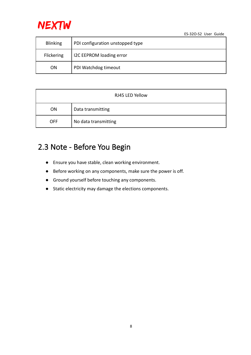

| <b>Blinking</b> | PDI configuration unstopped type |
|-----------------|----------------------------------|
| Flickering      | I2C EEPROM loading error         |
| <b>ON</b>       | PDI Watchdog timeout             |

|            | RJ45 LED Yellow      |
|------------|----------------------|
| <b>ON</b>  | Data transmitting    |
| <b>OFF</b> | No data transmitting |

#### <span id="page-7-0"></span>2.3 Note - Before You Begin

- Ensure you have stable, clean working environment.
- Before working on any components, make sure the poweris off.
- Ground yourself before touching any components.
- Static electricity may damage the elections components.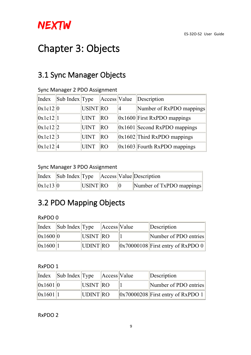

# <span id="page-8-0"></span>Chapter 3: Objects

#### <span id="page-8-1"></span>3.1 Sync Manager Objects

| Index        | $\vert$ Sub Index $\vert$ Type |             | Access Value | Description                      |
|--------------|--------------------------------|-------------|--------------|----------------------------------|
| 0x1c12 0     |                                | USINT RO    |              | Number of RxPDO mappings         |
| 0x1c12 1     |                                | <b>UINT</b> | RO           | $ 0x1600 $ First RxPDO mappings  |
| 0x1c12 2     |                                | <b>UINT</b> | RO           | $ 0x1601 $ Second RxPDO mappings |
| 0x1c12 3     |                                | <b>UINT</b> | RO           | $ 0x1602 $ Third RxPDO mappings  |
| $ 0x1c12 $ 4 |                                | UINT        | RO           | $ 0x1603 $ Fourth RxPDO mappings |

#### Sync Manager 2 PDO Assignment

#### Sync Manager 3 PDO Assignment

|          |          |  | Index Sub Index Type Access Value Description |
|----------|----------|--|-----------------------------------------------|
| 0x1c13 0 | USINT RO |  | $\vert$ Number of TxPDO mappings $\vert$      |

#### <span id="page-8-2"></span>3.2 PDO Mapping Objects

RxPDO 0

| Index    | $\left \text{Sub Index}\right $ Type |          | Access Value | Description                             |
|----------|--------------------------------------|----------|--------------|-----------------------------------------|
| 0x1600 0 |                                      | USINT RO |              | Number of PDO entries                   |
| 0x1600 1 |                                      | UDINT RO |              | $\ 0x70000108\ $ First entry of RxPDO 0 |

#### RxPDO 1

| Index    | $\ \text{Sub Index}\  \text{Type}\$ |                 | Access Value | Description                                        |
|----------|-------------------------------------|-----------------|--------------|----------------------------------------------------|
| 0x1601 0 |                                     | <b>USINT RO</b> |              | Number of PDO entries                              |
| 0x1601 1 |                                     | UDINT RO        |              | $\left\ 0x70000208\right\ $ First entry of RxPDO 1 |

RxPDO 2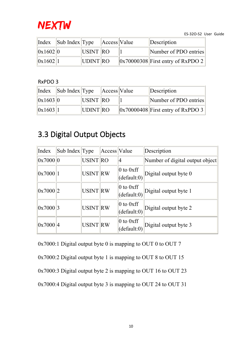

| Index         | $\left \left \text{Sub Index}\right \right $ Type |                 | $ $ Access   Value | Description                             |
|---------------|---------------------------------------------------|-----------------|--------------------|-----------------------------------------|
| 0x1602 0      |                                                   | <b>USINT RO</b> |                    | Number of PDO entries                   |
| $\ 0x1602\ 1$ |                                                   | UDINT RO        |                    | $\ 0x70000308\ $ First entry of RxPDO 2 |

#### RxPDO 3

| Index    | $\left \left \text{Sub Index}\right \right $ Type |          | Access Value | Description                                        |
|----------|---------------------------------------------------|----------|--------------|----------------------------------------------------|
| 0x1603 0 |                                                   | USINT RO |              | Number of PDO entries                              |
| 0x1603 1 |                                                   | UDINT RO |              | $\left\ 0x70000408\right\ $ First entry of RxPDO 3 |

#### <span id="page-9-0"></span>3.3 Digital Output Objects

| Index    | Sub Index Type |                | Access Value |                                     | Description                     |
|----------|----------------|----------------|--------------|-------------------------------------|---------------------------------|
| 0x7000 0 |                | USINT RO       |              | 14                                  | Number of digital output object |
| 0x7000 1 |                | <b>USINTRW</b> |              | $\vert 0$ to 0xff<br>(default:0)    | Digital output byte $0$         |
| 0x7000 2 |                | USINT RW       |              | $\vert 0$ to $0$ xff<br>(default:0) | Digital output byte 1           |
| 0x7000 3 |                | <b>USINTRW</b> |              | $\vert 0$ to 0xff<br>(default:0)    | Digital output byte 2           |
| 0x7000 4 |                | USINT RW       |              | $\vert 0$ to $0$ xff<br>(default:0) | Digital output byte 3           |

0x7000:1 Digital output byte 0 is mapping to OUT 0 to OUT 7

0x7000:2 Digital output byte 1 is mapping to OUT 8 to OUT 15

0x7000:3 Digital output byte 2 is mapping to OUT 16 to OUT 23

0x7000:4 Digital output byte 3 is mapping to OUT 24 to OUT 31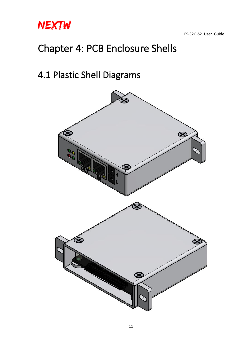

# <span id="page-10-0"></span>Chapter 4: PCB Enclosure Shells

### <span id="page-10-1"></span>4.1 Plastic Shell Diagrams